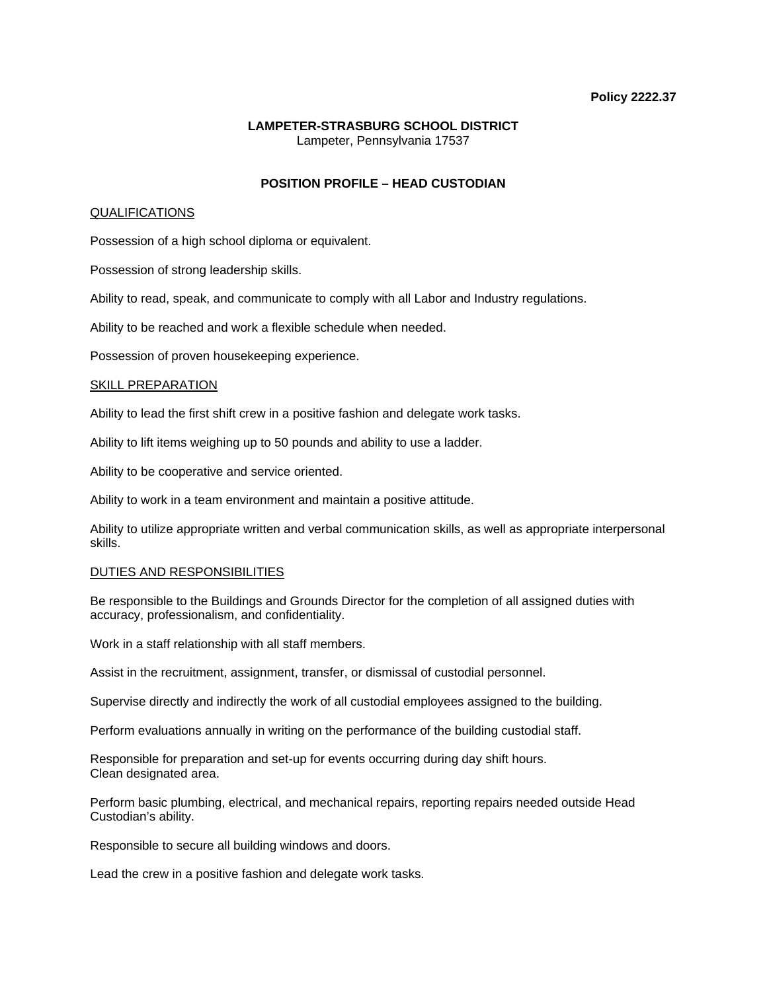## **Policy 2222.37**

# **LAMPETER-STRASBURG SCHOOL DISTRICT**  Lampeter, Pennsylvania 17537

# **POSITION PROFILE – HEAD CUSTODIAN**

## QUALIFICATIONS

Possession of a high school diploma or equivalent.

Possession of strong leadership skills.

Ability to read, speak, and communicate to comply with all Labor and Industry regulations.

Ability to be reached and work a flexible schedule when needed.

Possession of proven housekeeping experience.

## SKILL PREPARATION

Ability to lead the first shift crew in a positive fashion and delegate work tasks.

Ability to lift items weighing up to 50 pounds and ability to use a ladder.

Ability to be cooperative and service oriented.

Ability to work in a team environment and maintain a positive attitude.

Ability to utilize appropriate written and verbal communication skills, as well as appropriate interpersonal skills.

#### DUTIES AND RESPONSIBILITIES

Be responsible to the Buildings and Grounds Director for the completion of all assigned duties with accuracy, professionalism, and confidentiality.

Work in a staff relationship with all staff members.

Assist in the recruitment, assignment, transfer, or dismissal of custodial personnel.

Supervise directly and indirectly the work of all custodial employees assigned to the building.

Perform evaluations annually in writing on the performance of the building custodial staff.

Responsible for preparation and set-up for events occurring during day shift hours. Clean designated area.

Perform basic plumbing, electrical, and mechanical repairs, reporting repairs needed outside Head Custodian's ability.

Responsible to secure all building windows and doors.

Lead the crew in a positive fashion and delegate work tasks.